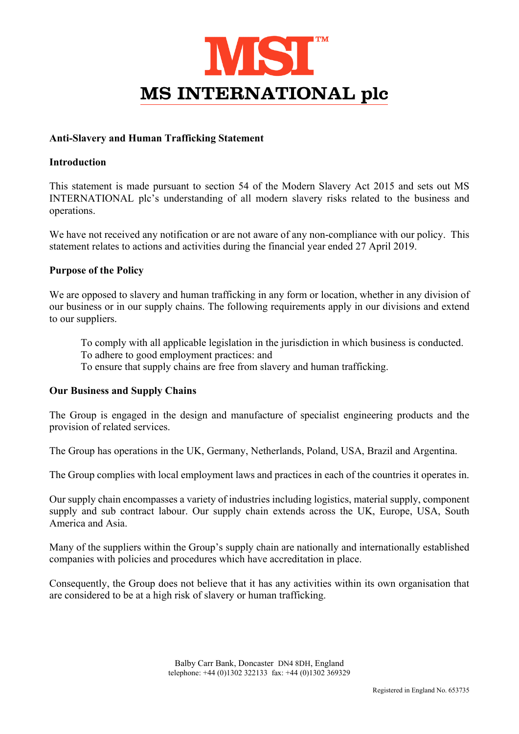

## Anti-Slavery and Human Trafficking Statement

## Introduction

This statement is made pursuant to section 54 of the Modern Slavery Act 2015 and sets out MS INTERNATIONAL plc's understanding of all modern slavery risks related to the business and operations.

We have not received any notification or are not aware of any non-compliance with our policy. This statement relates to actions and activities during the financial year ended 27 April 2019.

#### Purpose of the Policy

We are opposed to slavery and human trafficking in any form or location, whether in any division of our business or in our supply chains. The following requirements apply in our divisions and extend to our suppliers.

To comply with all applicable legislation in the jurisdiction in which business is conducted.

To adhere to good employment practices: and

To ensure that supply chains are free from slavery and human trafficking.

#### Our Business and Supply Chains

The Group is engaged in the design and manufacture of specialist engineering products and the provision of related services.

The Group has operations in the UK, Germany, Netherlands, Poland, USA, Brazil and Argentina.

The Group complies with local employment laws and practices in each of the countries it operates in.

Our supply chain encompasses a variety of industries including logistics, material supply, component supply and sub contract labour. Our supply chain extends across the UK, Europe, USA, South America and Asia.

Many of the suppliers within the Group's supply chain are nationally and internationally established companies with policies and procedures which have accreditation in place.

Consequently, the Group does not believe that it has any activities within its own organisation that are considered to be at a high risk of slavery or human trafficking.